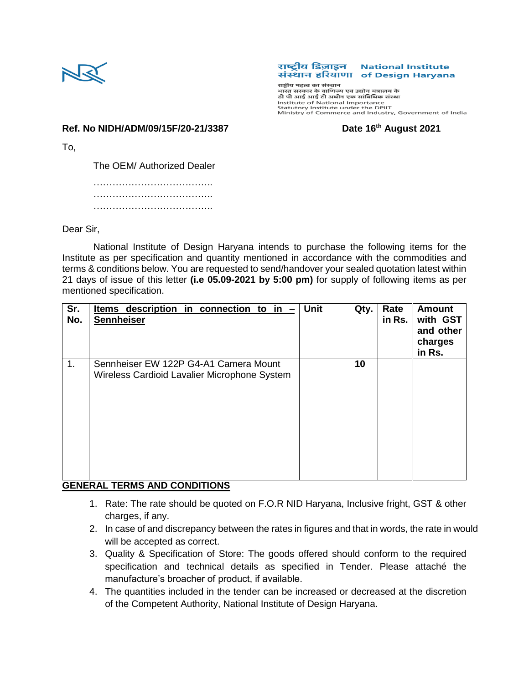

## राष्टीय डिज़ाइन **National Institute** संस्थान हरियाणा of Design Haryana

राष्ट्रीय महत्व का संस्थान or in our of National Importance<br>Statutory Institute under the DPIIT<br>Ministry of Commerce and Industry, Government of India

**Ref. No NIDH/ADM/09/15F/20-21/3387 Date 16th August 2021**

To,

The OEM/ Authorized Dealer

……………………………….. ……………………………….. ………………………………………………

Dear Sir,

National Institute of Design Haryana intends to purchase the following items for the Institute as per specification and quantity mentioned in accordance with the commodities and terms & conditions below. You are requested to send/handover your sealed quotation latest within 21 days of issue of this letter **(i.e 05.09-2021 by 5:00 pm)** for supply of following items as per mentioned specification.

| Sr.<br>No. | <u>Items</u> description in connection to in $-$<br><b>Sennheiser</b>                 | <b>Unit</b> | Qty. | Rate<br>in Rs. | <b>Amount</b><br>with GST<br>and other<br>charges<br>in Rs. |
|------------|---------------------------------------------------------------------------------------|-------------|------|----------------|-------------------------------------------------------------|
| 1.         | Sennheiser EW 122P G4-A1 Camera Mount<br>Wireless Cardioid Lavalier Microphone System |             | 10   |                |                                                             |

## **GENERAL TERMS AND CONDITIONS**

- 1. Rate: The rate should be quoted on F.O.R NID Haryana, Inclusive fright, GST & other charges, if any.
- 2. In case of and discrepancy between the rates in figures and that in words, the rate in would will be accepted as correct.
- 3. Quality & Specification of Store: The goods offered should conform to the required specification and technical details as specified in Tender. Please attaché the manufacture's broacher of product, if available.
- 4. The quantities included in the tender can be increased or decreased at the discretion of the Competent Authority, National Institute of Design Haryana.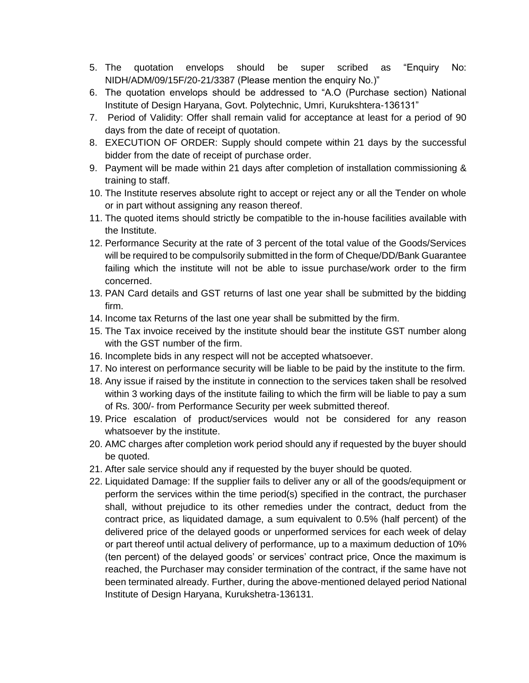- 5. The quotation envelops should be super scribed as "Enquiry No: NIDH/ADM/09/15F/20-21/3387 (Please mention the enquiry No.)"
- 6. The quotation envelops should be addressed to "A.O (Purchase section) National Institute of Design Haryana, Govt. Polytechnic, Umri, Kurukshtera-136131"
- 7. Period of Validity: Offer shall remain valid for acceptance at least for a period of 90 days from the date of receipt of quotation.
- 8. EXECUTION OF ORDER: Supply should compete within 21 days by the successful bidder from the date of receipt of purchase order.
- 9. Payment will be made within 21 days after completion of installation commissioning & training to staff.
- 10. The Institute reserves absolute right to accept or reject any or all the Tender on whole or in part without assigning any reason thereof.
- 11. The quoted items should strictly be compatible to the in-house facilities available with the Institute.
- 12. Performance Security at the rate of 3 percent of the total value of the Goods/Services will be required to be compulsorily submitted in the form of Cheque/DD/Bank Guarantee failing which the institute will not be able to issue purchase/work order to the firm concerned.
- 13. PAN Card details and GST returns of last one year shall be submitted by the bidding firm.
- 14. Income tax Returns of the last one year shall be submitted by the firm.
- 15. The Tax invoice received by the institute should bear the institute GST number along with the GST number of the firm.
- 16. Incomplete bids in any respect will not be accepted whatsoever.
- 17. No interest on performance security will be liable to be paid by the institute to the firm.
- 18. Any issue if raised by the institute in connection to the services taken shall be resolved within 3 working days of the institute failing to which the firm will be liable to pay a sum of Rs. 300/- from Performance Security per week submitted thereof.
- 19. Price escalation of product/services would not be considered for any reason whatsoever by the institute.
- 20. AMC charges after completion work period should any if requested by the buyer should be quoted.
- 21. After sale service should any if requested by the buyer should be quoted.
- 22. Liquidated Damage: If the supplier fails to deliver any or all of the goods/equipment or perform the services within the time period(s) specified in the contract, the purchaser shall, without prejudice to its other remedies under the contract, deduct from the contract price, as liquidated damage, a sum equivalent to 0.5% (half percent) of the delivered price of the delayed goods or unperformed services for each week of delay or part thereof until actual delivery of performance, up to a maximum deduction of 10% (ten percent) of the delayed goods' or services' contract price, Once the maximum is reached, the Purchaser may consider termination of the contract, if the same have not been terminated already. Further, during the above-mentioned delayed period National Institute of Design Haryana, Kurukshetra-136131.